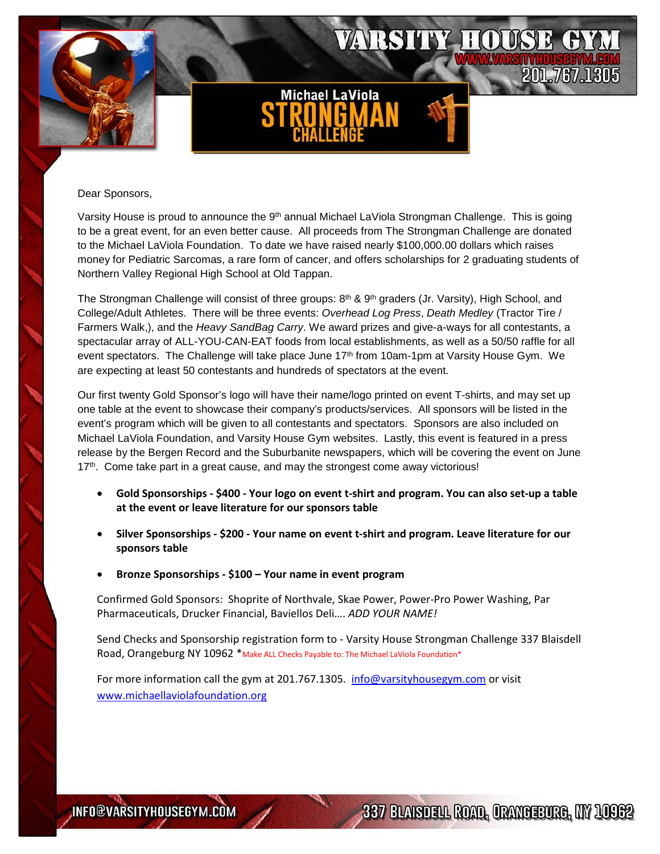

## Dear Sponsors,

Varsity House is proud to announce the 9<sup>th</sup> annual Michael LaViola Strongman Challenge. This is going to be a great event, for an even better cause. All proceeds from The Strongman Challenge are donated to the Michael LaViola Foundation. To date we have raised nearly \$100,000.00 dollars which raises money for Pediatric Sarcomas, a rare form of cancer, and offers scholarships for 2 graduating students of Northern Valley Regional High School at Old Tappan.

The Strongman Challenge will consist of three groups:  $8<sup>th</sup>$  &  $9<sup>th</sup>$  graders (Jr. Varsity), High School, and College/Adult Athletes. There will be three events: *Overhead Log Press*, *Death Medley* (Tractor Tire / Farmers Walk,), and the *Heavy SandBag Carry*. We award prizes and give-a-ways for all contestants, a spectacular array of ALL-YOU-CAN-EAT foods from local establishments, as well as a 50/50 raffle for all event spectators. The Challenge will take place June 17<sup>th</sup> from 10am-1pm at Varsity House Gym. We are expecting at least 50 contestants and hundreds of spectators at the event.

Our first twenty Gold Sponsor's logo will have their name/logo printed on event T-shirts, and may set up one table at the event to showcase their company's products/services. All sponsors will be listed in the event's program which will be given to all contestants and spectators. Sponsors are also included on Michael LaViola Foundation, and Varsity House Gym websites. Lastly, this event is featured in a press release by the Bergen Record and the Suburbanite newspapers, which will be covering the event on June  $17<sup>th</sup>$ . Come take part in a great cause, and may the strongest come away victorious!

- **Gold Sponsorships \$400 Your logo on event t-shirt and program. You can also set-up a table at the event or leave literature for our sponsors table**
- **Silver Sponsorships \$200 Your name on event t-shirt and program. Leave literature for our sponsors table**
- **Bronze Sponsorships \$100 Your name in event program**

Confirmed Gold Sponsors: Shoprite of Northvale, Skae Power, Power-Pro Power Washing, Par Pharmaceuticals, Drucker Financial, Baviellos Deli…. *ADD YOUR NAME!*

Send Checks and Sponsorship registration form to - Varsity House Strongman Challenge 337 Blaisdell Road, Orangeburg NY 10962 \*Make ALL Checks Payable to: The Michael LaViola Foundation\*

For more information call the gym at 201.767.1305. [info@varsityhousegym.com](mailto:info@varsityhousegym.com) or visit [www.michaellaviolafoundation.org](http://www.michaellaviolafoundation.org/) 

337 BLAKDELL ROAD, ORANGEBURG, INY 10962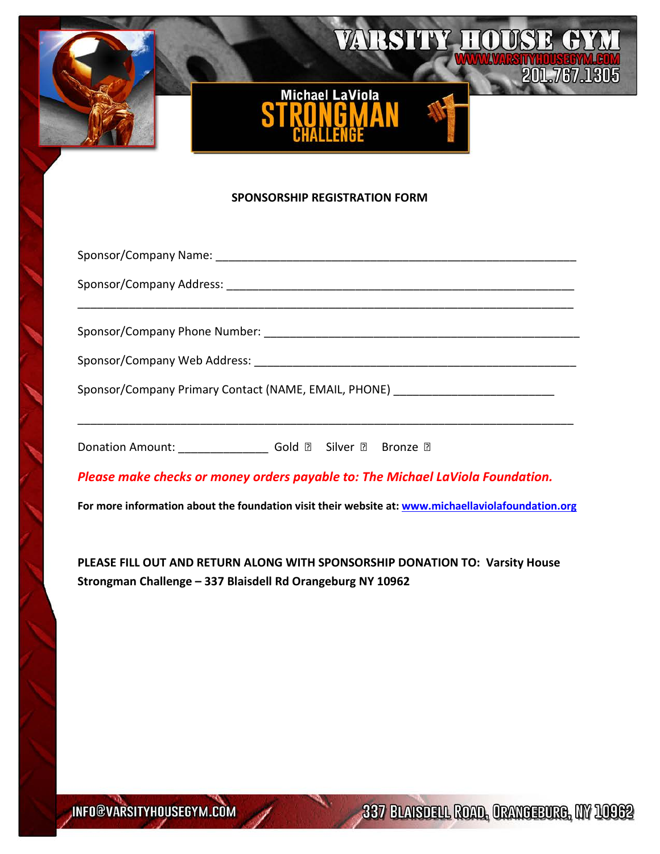

## **SPONSORSHIP REGISTRATION FORM**

| Sponsor/Company Primary Contact (NAME, EMAIL, PHONE) ___________________________ |
|----------------------------------------------------------------------------------|
|                                                                                  |
|                                                                                  |
| Please make checks or money orders payable to: The Michael LaViola Foundation.   |

**For more information about the foundation visit their website at: [www.michaellaviolafoundation.org](http://www.michaellaviolafoundation.org/)**

**PLEASE FILL OUT AND RETURN ALONG WITH SPONSORSHIP DONATION TO: Varsity House Strongman Challenge – 337 Blaisdell Rd Orangeburg NY 10962**

337 BLAKSDELL ROAD, ORANDEEURO, INY 109622